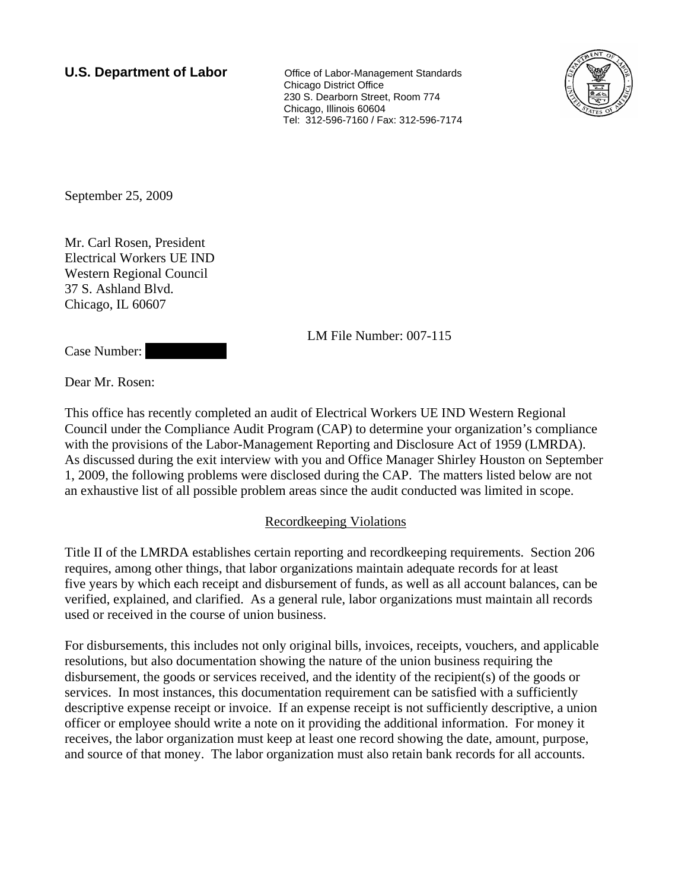**U.S. Department of Labor Conservative Conservative Conservative Conservative Conservative Conservative Conservative Conservative Conservative Conservative Conservative Conservative Conservative Conservative Conservative**  Chicago District Office 230 S. Dearborn Street, Room 774 Chicago, Illinois 60604 Tel: 312-596-7160 / Fax: 312-596-7174



September 25, 2009

Mr. Carl Rosen, President Electrical Workers UE IND Western Regional Council 37 S. Ashland Blvd. Chicago, IL 60607

LM File Number: 007-115

Case Number:

Dear Mr. Rosen:

This office has recently completed an audit of Electrical Workers UE IND Western Regional Council under the Compliance Audit Program (CAP) to determine your organization's compliance with the provisions of the Labor-Management Reporting and Disclosure Act of 1959 (LMRDA). As discussed during the exit interview with you and Office Manager Shirley Houston on September 1, 2009, the following problems were disclosed during the CAP. The matters listed below are not an exhaustive list of all possible problem areas since the audit conducted was limited in scope.

## Recordkeeping Violations

Title II of the LMRDA establishes certain reporting and recordkeeping requirements. Section 206 requires, among other things, that labor organizations maintain adequate records for at least five years by which each receipt and disbursement of funds, as well as all account balances, can be verified, explained, and clarified. As a general rule, labor organizations must maintain all records used or received in the course of union business.

For disbursements, this includes not only original bills, invoices, receipts, vouchers, and applicable resolutions, but also documentation showing the nature of the union business requiring the disbursement, the goods or services received, and the identity of the recipient(s) of the goods or services. In most instances, this documentation requirement can be satisfied with a sufficiently descriptive expense receipt or invoice. If an expense receipt is not sufficiently descriptive, a union officer or employee should write a note on it providing the additional information. For money it receives, the labor organization must keep at least one record showing the date, amount, purpose, and source of that money. The labor organization must also retain bank records for all accounts.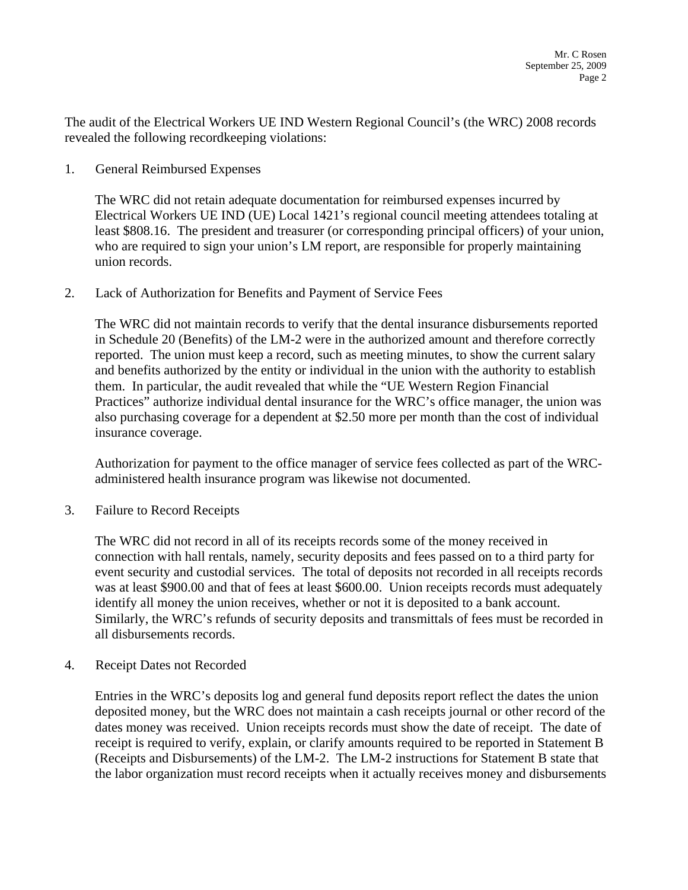The audit of the Electrical Workers UE IND Western Regional Council's (the WRC) 2008 records revealed the following recordkeeping violations:

1. General Reimbursed Expenses

The WRC did not retain adequate documentation for reimbursed expenses incurred by Electrical Workers UE IND (UE) Local 1421's regional council meeting attendees totaling at least \$808.16. The president and treasurer (or corresponding principal officers) of your union, who are required to sign your union's LM report, are responsible for properly maintaining union records.

2. Lack of Authorization for Benefits and Payment of Service Fees

The WRC did not maintain records to verify that the dental insurance disbursements reported in Schedule 20 (Benefits) of the LM-2 were in the authorized amount and therefore correctly reported. The union must keep a record, such as meeting minutes, to show the current salary and benefits authorized by the entity or individual in the union with the authority to establish them. In particular, the audit revealed that while the "UE Western Region Financial Practices" authorize individual dental insurance for the WRC's office manager, the union was also purchasing coverage for a dependent at \$2.50 more per month than the cost of individual insurance coverage.

Authorization for payment to the office manager of service fees collected as part of the WRCadministered health insurance program was likewise not documented.

3. Failure to Record Receipts

The WRC did not record in all of its receipts records some of the money received in connection with hall rentals, namely, security deposits and fees passed on to a third party for event security and custodial services. The total of deposits not recorded in all receipts records was at least \$900.00 and that of fees at least \$600.00. Union receipts records must adequately identify all money the union receives, whether or not it is deposited to a bank account. Similarly, the WRC's refunds of security deposits and transmittals of fees must be recorded in all disbursements records.

4. Receipt Dates not Recorded

Entries in the WRC's deposits log and general fund deposits report reflect the dates the union deposited money, but the WRC does not maintain a cash receipts journal or other record of the dates money was received. Union receipts records must show the date of receipt. The date of receipt is required to verify, explain, or clarify amounts required to be reported in Statement B (Receipts and Disbursements) of the LM-2. The LM-2 instructions for Statement B state that the labor organization must record receipts when it actually receives money and disbursements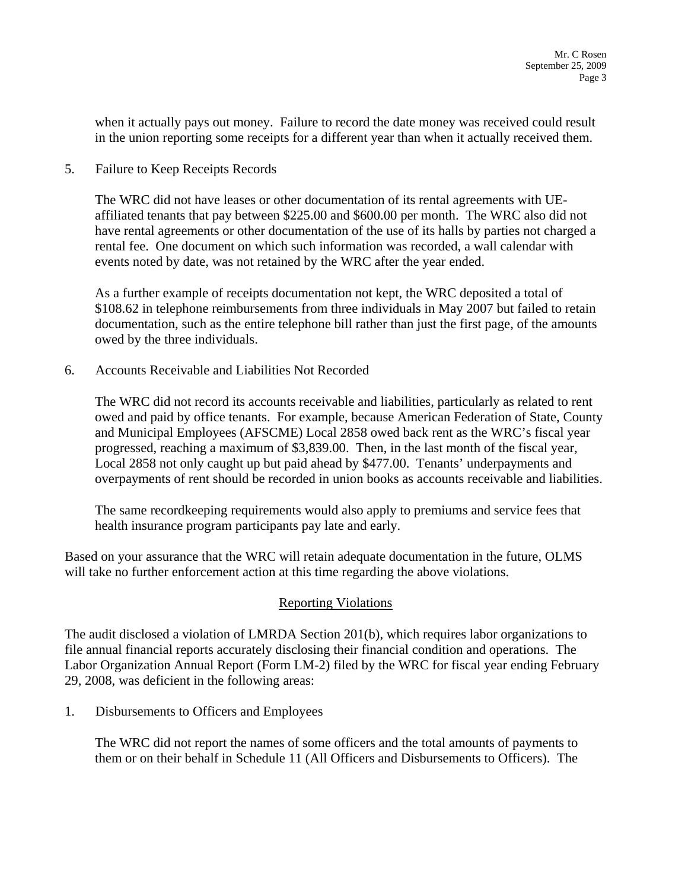when it actually pays out money. Failure to record the date money was received could result in the union reporting some receipts for a different year than when it actually received them.

5. Failure to Keep Receipts Records

The WRC did not have leases or other documentation of its rental agreements with UEaffiliated tenants that pay between \$225.00 and \$600.00 per month. The WRC also did not have rental agreements or other documentation of the use of its halls by parties not charged a rental fee. One document on which such information was recorded, a wall calendar with events noted by date, was not retained by the WRC after the year ended.

As a further example of receipts documentation not kept, the WRC deposited a total of \$108.62 in telephone reimbursements from three individuals in May 2007 but failed to retain documentation, such as the entire telephone bill rather than just the first page, of the amounts owed by the three individuals.

6. Accounts Receivable and Liabilities Not Recorded

The WRC did not record its accounts receivable and liabilities, particularly as related to rent owed and paid by office tenants. For example, because American Federation of State, County and Municipal Employees (AFSCME) Local 2858 owed back rent as the WRC's fiscal year progressed, reaching a maximum of \$3,839.00. Then, in the last month of the fiscal year, Local 2858 not only caught up but paid ahead by \$477.00. Tenants' underpayments and overpayments of rent should be recorded in union books as accounts receivable and liabilities.

The same recordkeeping requirements would also apply to premiums and service fees that health insurance program participants pay late and early.

Based on your assurance that the WRC will retain adequate documentation in the future, OLMS will take no further enforcement action at this time regarding the above violations.

## Reporting Violations

The audit disclosed a violation of LMRDA Section 201(b), which requires labor organizations to file annual financial reports accurately disclosing their financial condition and operations. The Labor Organization Annual Report (Form LM-2) filed by the WRC for fiscal year ending February 29, 2008, was deficient in the following areas:

1. Disbursements to Officers and Employees

The WRC did not report the names of some officers and the total amounts of payments to them or on their behalf in Schedule 11 (All Officers and Disbursements to Officers). The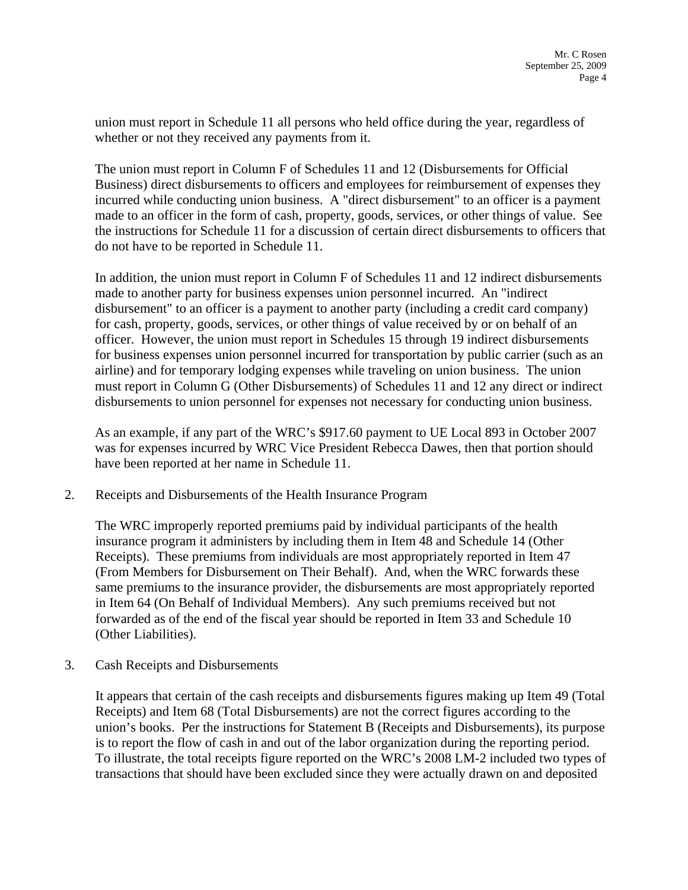union must report in Schedule 11 all persons who held office during the year, regardless of whether or not they received any payments from it.

The union must report in Column F of Schedules 11 and 12 (Disbursements for Official Business) direct disbursements to officers and employees for reimbursement of expenses they incurred while conducting union business. A "direct disbursement" to an officer is a payment made to an officer in the form of cash, property, goods, services, or other things of value. See the instructions for Schedule 11 for a discussion of certain direct disbursements to officers that do not have to be reported in Schedule 11.

In addition, the union must report in Column F of Schedules 11 and 12 indirect disbursements made to another party for business expenses union personnel incurred. An "indirect disbursement" to an officer is a payment to another party (including a credit card company) for cash, property, goods, services, or other things of value received by or on behalf of an officer. However, the union must report in Schedules 15 through 19 indirect disbursements for business expenses union personnel incurred for transportation by public carrier (such as an airline) and for temporary lodging expenses while traveling on union business. The union must report in Column G (Other Disbursements) of Schedules 11 and 12 any direct or indirect disbursements to union personnel for expenses not necessary for conducting union business.

As an example, if any part of the WRC's \$917.60 payment to UE Local 893 in October 2007 was for expenses incurred by WRC Vice President Rebecca Dawes, then that portion should have been reported at her name in Schedule 11.

2. Receipts and Disbursements of the Health Insurance Program

The WRC improperly reported premiums paid by individual participants of the health insurance program it administers by including them in Item 48 and Schedule 14 (Other Receipts). These premiums from individuals are most appropriately reported in Item 47 (From Members for Disbursement on Their Behalf). And, when the WRC forwards these same premiums to the insurance provider, the disbursements are most appropriately reported in Item 64 (On Behalf of Individual Members). Any such premiums received but not forwarded as of the end of the fiscal year should be reported in Item 33 and Schedule 10 (Other Liabilities).

3. Cash Receipts and Disbursements

It appears that certain of the cash receipts and disbursements figures making up Item 49 (Total Receipts) and Item 68 (Total Disbursements) are not the correct figures according to the union's books. Per the instructions for Statement B (Receipts and Disbursements), its purpose is to report the flow of cash in and out of the labor organization during the reporting period. To illustrate, the total receipts figure reported on the WRC's 2008 LM-2 included two types of transactions that should have been excluded since they were actually drawn on and deposited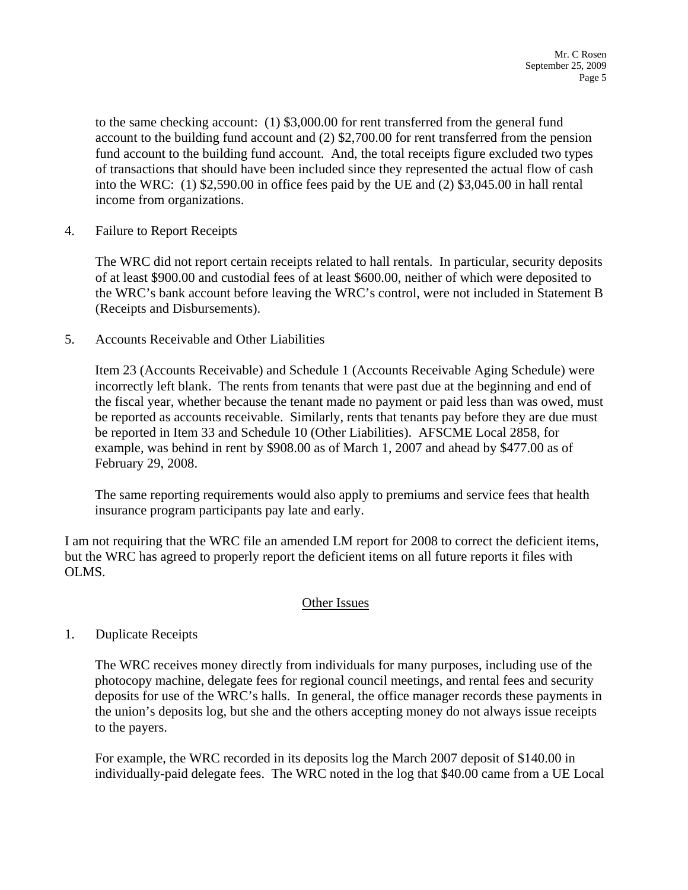to the same checking account: (1) \$3,000.00 for rent transferred from the general fund account to the building fund account and (2) \$2,700.00 for rent transferred from the pension fund account to the building fund account. And, the total receipts figure excluded two types of transactions that should have been included since they represented the actual flow of cash into the WRC: (1) \$2,590.00 in office fees paid by the UE and (2) \$3,045.00 in hall rental income from organizations.

4. Failure to Report Receipts

The WRC did not report certain receipts related to hall rentals. In particular, security deposits of at least \$900.00 and custodial fees of at least \$600.00, neither of which were deposited to the WRC's bank account before leaving the WRC's control, were not included in Statement B (Receipts and Disbursements).

5. Accounts Receivable and Other Liabilities

Item 23 (Accounts Receivable) and Schedule 1 (Accounts Receivable Aging Schedule) were incorrectly left blank. The rents from tenants that were past due at the beginning and end of the fiscal year, whether because the tenant made no payment or paid less than was owed, must be reported as accounts receivable. Similarly, rents that tenants pay before they are due must be reported in Item 33 and Schedule 10 (Other Liabilities). AFSCME Local 2858, for example, was behind in rent by \$908.00 as of March 1, 2007 and ahead by \$477.00 as of February 29, 2008.

The same reporting requirements would also apply to premiums and service fees that health insurance program participants pay late and early.

I am not requiring that the WRC file an amended LM report for 2008 to correct the deficient items, but the WRC has agreed to properly report the deficient items on all future reports it files with OLMS.

## Other Issues

1. Duplicate Receipts

The WRC receives money directly from individuals for many purposes, including use of the photocopy machine, delegate fees for regional council meetings, and rental fees and security deposits for use of the WRC's halls. In general, the office manager records these payments in the union's deposits log, but she and the others accepting money do not always issue receipts to the payers.

For example, the WRC recorded in its deposits log the March 2007 deposit of \$140.00 in individually-paid delegate fees. The WRC noted in the log that \$40.00 came from a UE Local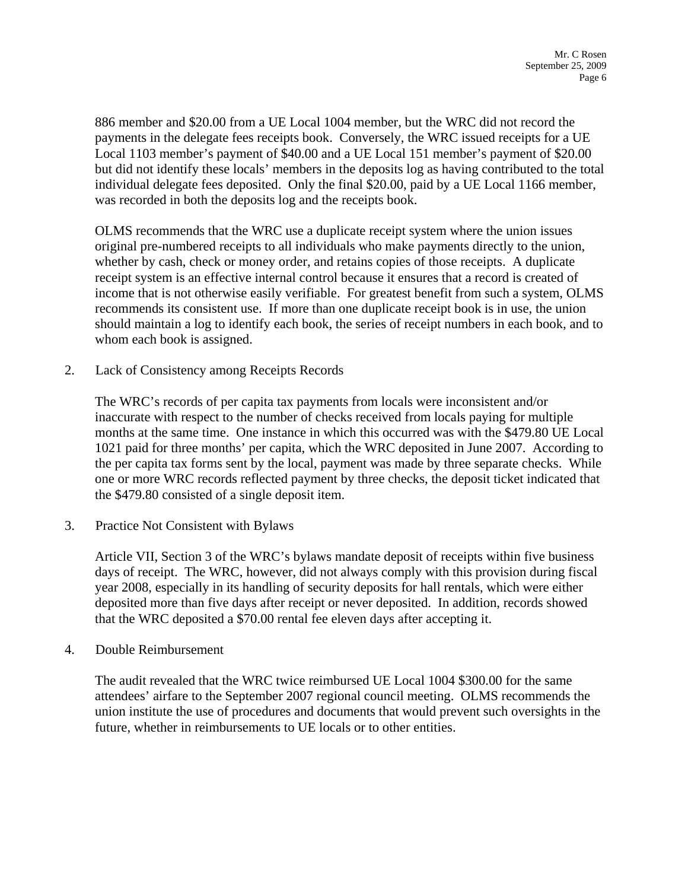886 member and \$20.00 from a UE Local 1004 member, but the WRC did not record the payments in the delegate fees receipts book. Conversely, the WRC issued receipts for a UE Local 1103 member's payment of \$40.00 and a UE Local 151 member's payment of \$20.00 but did not identify these locals' members in the deposits log as having contributed to the total individual delegate fees deposited. Only the final \$20.00, paid by a UE Local 1166 member, was recorded in both the deposits log and the receipts book.

OLMS recommends that the WRC use a duplicate receipt system where the union issues original pre-numbered receipts to all individuals who make payments directly to the union, whether by cash, check or money order, and retains copies of those receipts. A duplicate receipt system is an effective internal control because it ensures that a record is created of income that is not otherwise easily verifiable. For greatest benefit from such a system, OLMS recommends its consistent use. If more than one duplicate receipt book is in use, the union should maintain a log to identify each book, the series of receipt numbers in each book, and to whom each book is assigned.

2. Lack of Consistency among Receipts Records

The WRC's records of per capita tax payments from locals were inconsistent and/or inaccurate with respect to the number of checks received from locals paying for multiple months at the same time. One instance in which this occurred was with the \$479.80 UE Local 1021 paid for three months' per capita, which the WRC deposited in June 2007. According to the per capita tax forms sent by the local, payment was made by three separate checks. While one or more WRC records reflected payment by three checks, the deposit ticket indicated that the \$479.80 consisted of a single deposit item.

3. Practice Not Consistent with Bylaws

Article VII, Section 3 of the WRC's bylaws mandate deposit of receipts within five business days of receipt. The WRC, however, did not always comply with this provision during fiscal year 2008, especially in its handling of security deposits for hall rentals, which were either deposited more than five days after receipt or never deposited. In addition, records showed that the WRC deposited a \$70.00 rental fee eleven days after accepting it.

4. Double Reimbursement

The audit revealed that the WRC twice reimbursed UE Local 1004 \$300.00 for the same attendees' airfare to the September 2007 regional council meeting. OLMS recommends the union institute the use of procedures and documents that would prevent such oversights in the future, whether in reimbursements to UE locals or to other entities.